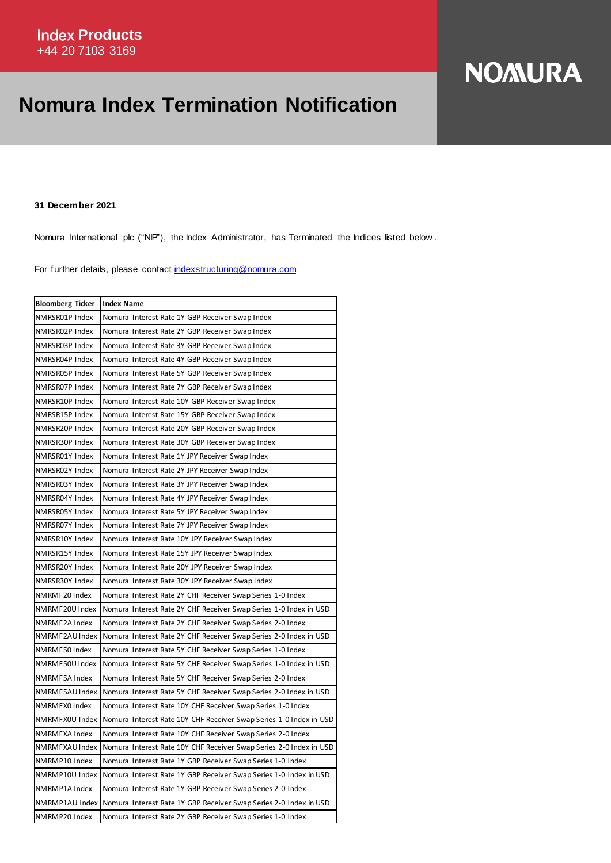## **Nomura Index Termination Notification**

## **NOMURA**

**31 December 2021**

Nomura International plc ("NIP"), the Index Administrator, has Terminated the Indices listed below .

For further details, please contact [indexstructuring@nomura.com](mailto:indexstructuring@nomura.com)

| <b>Bloomberg Ticker</b> | <b>Index Name</b>                                                  |
|-------------------------|--------------------------------------------------------------------|
| NMRSR01P Index          | Nomura Interest Rate 1Y GBP Receiver Swap Index                    |
| NMRSR02P Index          | Nomura Interest Rate 2Y GBP Receiver Swap Index                    |
| NMRSR03P Index          | Nomura Interest Rate 3Y GBP Receiver Swap Index                    |
| NMRSR04P Index          | Nomura Interest Rate 4Y GBP Receiver Swap Index                    |
| NMRSR05P Index          | Nomura Interest Rate 5Y GBP Receiver Swap Index                    |
| NMRSR07P Index          | Nomura Interest Rate 7Y GBP Receiver Swap Index                    |
| NMRSR10P Index          | Nomura Interest Rate 10Y GBP Receiver Swap Index                   |
| NMRSR15P Index          | Nomura Interest Rate 15Y GBP Receiver Swap Index                   |
| NMRSR20P Index          | Nomura Interest Rate 20Y GBP Receiver Swap Index                   |
| NMRSR30P Index          | Nomura Interest Rate 30Y GBP Receiver Swap Index                   |
| NMRSR01Y Index          | Nomura Interest Rate 1Y JPY Receiver Swap Index                    |
| NMRSR02Y Index          | Nomura Interest Rate 2Y JPY Receiver Swap Index                    |
| NMRSR03Y Index          | Nomura Interest Rate 3Y JPY Receiver Swap Index                    |
| NMRSR04Y Index          | Nomura Interest Rate 4Y JPY Receiver Swap Index                    |
| NMRSR05Y Index          | Nomura Interest Rate 5Y JPY Receiver Swap Index                    |
| NMRSR07Y Index          | Nomura Interest Rate 7Y JPY Receiver Swap Index                    |
| NMRSR10Y Index          | Nomura Interest Rate 10Y JPY Receiver Swap Index                   |
| NMRSR15Y Index          | Nomura Interest Rate 15Y JPY Receiver Swap Index                   |
| NMRSR20Y Index          | Nomura Interest Rate 20Y JPY Receiver Swap Index                   |
| NMRSR30Y Index          | Nomura Interest Rate 30Y JPY Receiver Swap Index                   |
| NMRMF20 Index           | Nomura Interest Rate 2Y CHF Receiver Swap Series 1-0 Index         |
| NMRMF20U Index          | Nomura Interest Rate 2Y CHF Receiver Swap Series 1-0 Index in USD  |
| NMRMF2A Index           | Nomura Interest Rate 2Y CHF Receiver Swap Series 2-0 Index         |
| NMRMF2AU Index          | Nomura Interest Rate 2Y CHF Receiver Swap Series 2-0 Index in USD  |
| NMRMF50 Index           | Nomura Interest Rate 5Y CHF Receiver Swap Series 1-0 Index         |
| NMRMF50U Index          | Nomura Interest Rate 5Y CHF Receiver Swap Series 1-0 Index in USD  |
| NMRMF5A Index           | Nomura Interest Rate 5Y CHF Receiver Swap Series 2-0 Index         |
| NMRMF5AU Index          | Nomura Interest Rate 5Y CHF Receiver Swap Series 2-0 Index in USD  |
| NMRMFX0 Index           | Nomura Interest Rate 10Y CHF Receiver Swap Series 1-0 Index        |
| NMRMFX0U Index          | Nomura Interest Rate 10Y CHF Receiver Swap Series 1-0 Index in USD |
| NMRMFXA Index           | Nomura Interest Rate 10Y CHF Receiver Swap Series 2-0 Index        |
| NMRMFXAU Index          | Nomura Interest Rate 10Y CHF Receiver Swap Series 2-0 Index in USD |
| NMRMP10 Index           | Nomura Interest Rate 1Y GBP Receiver Swap Series 1-0 Index         |
| NMRMP10U Index          | Nomura Interest Rate 1Y GBP Receiver Swap Series 1-0 Index in USD  |
| NMRMP1A Index           | Nomura Interest Rate 1Y GBP Receiver Swap Series 2-0 Index         |
| NMRMP1AU Index          | Nomura Interest Rate 1Y GBP Receiver Swap Series 2-0 Index in USD  |
| NMRMP20 Index           | Nomura Interest Rate 2Y GBP Receiver Swap Series 1-0 Index         |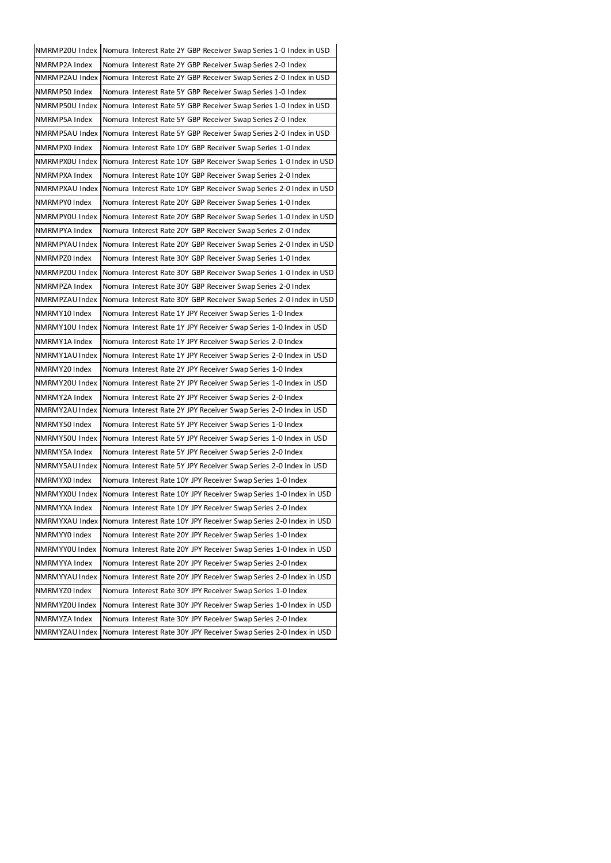| NMRMP20U Index | Nomura Interest Rate 2Y GBP Receiver Swap Series 1-0 Index in USD  |
|----------------|--------------------------------------------------------------------|
| NMRMP2A Index  | Nomura Interest Rate 2Y GBP Receiver Swap Series 2-0 Index         |
| NMRMP2AU Index | Nomura Interest Rate 2Y GBP Receiver Swap Series 2-0 Index in USD  |
| NMRMP50 Index  | Nomura Interest Rate 5Y GBP Receiver Swap Series 1-0 Index         |
| NMRMP50U Index | Nomura Interest Rate 5Y GBP Receiver Swap Series 1-0 Index in USD  |
| NMRMP5A Index  | Nomura Interest Rate 5Y GBP Receiver Swap Series 2-0 Index         |
| NMRMP5AU Index | Nomura Interest Rate 5Y GBP Receiver Swap Series 2-0 Index in USD  |
| NMRMPX0 Index  | Nomura Interest Rate 10Y GBP Receiver Swap Series 1-0 Index        |
| NMRMPX0U Index | Nomura Interest Rate 10Y GBP Receiver Swap Series 1-0 Index in USD |
| NMRMPXA Index  | Nomura Interest Rate 10Y GBP Receiver Swap Series 2-0 Index        |
| NMRMPXAU Index | Nomura Interest Rate 10Y GBP Receiver Swap Series 2-0 Index in USD |
| NMRMPY0 Index  | Nomura Interest Rate 20Y GBP Receiver Swap Series 1-0 Index        |
| NMRMPY0U Index | Nomura Interest Rate 20Y GBP Receiver Swap Series 1-0 Index in USD |
| NMRMPYA Index  | Nomura Interest Rate 20Y GBP Receiver Swap Series 2-0 Index        |
| NMRMPYAU Index | Nomura Interest Rate 20Y GBP Receiver Swap Series 2-0 Index in USD |
| NMRMPZ0 Index  | Nomura Interest Rate 30Y GBP Receiver Swap Series 1-0 Index        |
| NMRMPZ0U Index | Nomura Interest Rate 30Y GBP Receiver Swap Series 1-0 Index in USD |
| NMRMPZA Index  | Nomura Interest Rate 30Y GBP Receiver Swap Series 2-0 Index        |
| NMRMPZAU Index | Nomura Interest Rate 30Y GBP Receiver Swap Series 2-0 Index in USD |
| NMRMY10 Index  | Nomura Interest Rate 1Y JPY Receiver Swap Series 1-0 Index         |
| NMRMY10U Index | Nomura Interest Rate 1Y JPY Receiver Swap Series 1-0 Index in USD  |
| NMRMY1A Index  | Nomura Interest Rate 1Y JPY Receiver Swap Series 2-0 Index         |
| NMRMY1AU Index | Nomura Interest Rate 1Y JPY Receiver Swap Series 2-0 Index in USD  |
| NMRMY20 Index  | Nomura Interest Rate 2Y JPY Receiver Swap Series 1-0 Index         |
| NMRMY20U Index | Nomura Interest Rate 2Y JPY Receiver Swap Series 1-0 Index in USD  |
| NMRMY2A Index  | Nomura Interest Rate 2Y JPY Receiver Swap Series 2-0 Index         |
| NMRMY2AU Index | Nomura Interest Rate 2Y JPY Receiver Swap Series 2-0 Index in USD  |
| NMRMY50 Index  | Nomura Interest Rate 5Y JPY Receiver Swap Series 1-0 Index         |
| NMRMY50U Index | Nomura Interest Rate 5Y JPY Receiver Swap Series 1-0 Index in USD  |
| NMRMY5A Index  | Nomura Interest Rate 5Y JPY Receiver Swap Series 2-0 Index         |
| NMRMY5AU Index | Nomura Interest Rate 5Y JPY Receiver Swap Series 2-0 Index in USD  |
| NMRMYX0 Index  | Nomura Interest Rate 10Y JPY Receiver Swap Series 1-0 Index        |
| NMRMYX0U Index | Nomura Interest Rate 10Y JPY Receiver Swap Series 1-0 Index in USD |
| NMRMYXA Index  | Nomura Interest Rate 10Y JPY Receiver Swap Series 2-0 Index        |
| NMRMYXAU Index | Nomura Interest Rate 10Y JPY Receiver Swap Series 2-0 Index in USD |
| NMRMYY0 Index  | Nomura Interest Rate 20Y JPY Receiver Swap Series 1-0 Index        |
| NMRMYY0U Index | Nomura Interest Rate 20Y JPY Receiver Swap Series 1-0 Index in USD |
| NMRMYYA Index  | Nomura Interest Rate 20Y JPY Receiver Swap Series 2-0 Index        |
| NMRMYYAU Index | Nomura Interest Rate 20Y JPY Receiver Swap Series 2-0 Index in USD |
| NMRMYZ0 Index  | Nomura Interest Rate 30Y JPY Receiver Swap Series 1-0 Index        |
| NMRMYZ0U Index | Nomura Interest Rate 30Y JPY Receiver Swap Series 1-0 Index in USD |
| NMRMYZA Index  | Nomura Interest Rate 30Y JPY Receiver Swap Series 2-0 Index        |
| NMRMYZAU Index | Nomura Interest Rate 30Y JPY Receiver Swap Series 2-0 Index in USD |